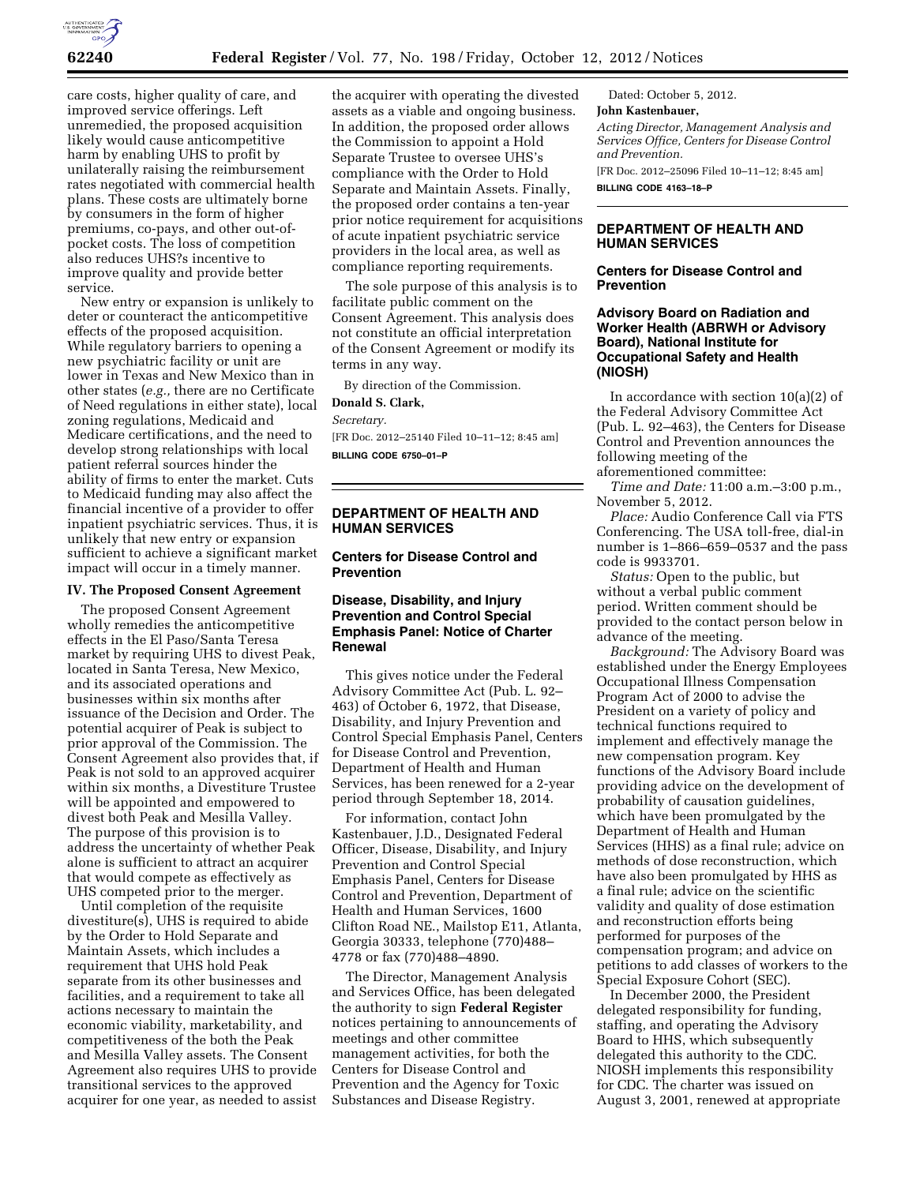

care costs, higher quality of care, and improved service offerings. Left unremedied, the proposed acquisition likely would cause anticompetitive harm by enabling UHS to profit by unilaterally raising the reimbursement rates negotiated with commercial health plans. These costs are ultimately borne by consumers in the form of higher premiums, co-pays, and other out-ofpocket costs. The loss of competition also reduces UHS?s incentive to improve quality and provide better service.

New entry or expansion is unlikely to deter or counteract the anticompetitive effects of the proposed acquisition. While regulatory barriers to opening a new psychiatric facility or unit are lower in Texas and New Mexico than in other states (*e.g.,* there are no Certificate of Need regulations in either state), local zoning regulations, Medicaid and Medicare certifications, and the need to develop strong relationships with local patient referral sources hinder the ability of firms to enter the market. Cuts to Medicaid funding may also affect the financial incentive of a provider to offer inpatient psychiatric services. Thus, it is unlikely that new entry or expansion sufficient to achieve a significant market impact will occur in a timely manner.

#### **IV. The Proposed Consent Agreement**

The proposed Consent Agreement wholly remedies the anticompetitive effects in the El Paso/Santa Teresa market by requiring UHS to divest Peak, located in Santa Teresa, New Mexico, and its associated operations and businesses within six months after issuance of the Decision and Order. The potential acquirer of Peak is subject to prior approval of the Commission. The Consent Agreement also provides that, if Peak is not sold to an approved acquirer within six months, a Divestiture Trustee will be appointed and empowered to divest both Peak and Mesilla Valley. The purpose of this provision is to address the uncertainty of whether Peak alone is sufficient to attract an acquirer that would compete as effectively as UHS competed prior to the merger.

Until completion of the requisite divestiture(s), UHS is required to abide by the Order to Hold Separate and Maintain Assets, which includes a requirement that UHS hold Peak separate from its other businesses and facilities, and a requirement to take all actions necessary to maintain the economic viability, marketability, and competitiveness of the both the Peak and Mesilla Valley assets. The Consent Agreement also requires UHS to provide transitional services to the approved acquirer for one year, as needed to assist the acquirer with operating the divested assets as a viable and ongoing business. In addition, the proposed order allows the Commission to appoint a Hold Separate Trustee to oversee UHS's compliance with the Order to Hold Separate and Maintain Assets. Finally, the proposed order contains a ten-year prior notice requirement for acquisitions of acute inpatient psychiatric service providers in the local area, as well as compliance reporting requirements.

The sole purpose of this analysis is to facilitate public comment on the Consent Agreement. This analysis does not constitute an official interpretation of the Consent Agreement or modify its terms in any way.

By direction of the Commission.

### **Donald S. Clark,**

*Secretary.* 

[FR Doc. 2012–25140 Filed 10–11–12; 8:45 am] **BILLING CODE 6750–01–P** 

# **DEPARTMENT OF HEALTH AND HUMAN SERVICES**

# **Centers for Disease Control and Prevention**

# **Disease, Disability, and Injury Prevention and Control Special Emphasis Panel: Notice of Charter Renewal**

This gives notice under the Federal Advisory Committee Act (Pub. L. 92– 463) of October 6, 1972, that Disease, Disability, and Injury Prevention and Control Special Emphasis Panel, Centers for Disease Control and Prevention, Department of Health and Human Services, has been renewed for a 2-year period through September 18, 2014.

For information, contact John Kastenbauer, J.D., Designated Federal Officer, Disease, Disability, and Injury Prevention and Control Special Emphasis Panel, Centers for Disease Control and Prevention, Department of Health and Human Services, 1600 Clifton Road NE., Mailstop E11, Atlanta, Georgia 30333, telephone (770)488– 4778 or fax (770)488–4890.

The Director, Management Analysis and Services Office, has been delegated the authority to sign **Federal Register**  notices pertaining to announcements of meetings and other committee management activities, for both the Centers for Disease Control and Prevention and the Agency for Toxic Substances and Disease Registry.

Dated: October 5, 2012.

## **John Kastenbauer,**

*Acting Director, Management Analysis and Services Office, Centers for Disease Control and Prevention.* 

[FR Doc. 2012–25096 Filed 10–11–12; 8:45 am] **BILLING CODE 4163–18–P** 

# **DEPARTMENT OF HEALTH AND HUMAN SERVICES**

### **Centers for Disease Control and Prevention**

# **Advisory Board on Radiation and Worker Health (ABRWH or Advisory Board), National Institute for Occupational Safety and Health (NIOSH)**

In accordance with section 10(a)(2) of the Federal Advisory Committee Act (Pub. L. 92–463), the Centers for Disease Control and Prevention announces the following meeting of the aforementioned committee:

*Time and Date:* 11:00 a.m.–3:00 p.m., November 5, 2012.

*Place:* Audio Conference Call via FTS Conferencing. The USA toll-free, dial-in number is 1–866–659–0537 and the pass code is 9933701.

*Status:* Open to the public, but without a verbal public comment period. Written comment should be provided to the contact person below in advance of the meeting.

*Background:* The Advisory Board was established under the Energy Employees Occupational Illness Compensation Program Act of 2000 to advise the President on a variety of policy and technical functions required to implement and effectively manage the new compensation program. Key functions of the Advisory Board include providing advice on the development of probability of causation guidelines, which have been promulgated by the Department of Health and Human Services (HHS) as a final rule; advice on methods of dose reconstruction, which have also been promulgated by HHS as a final rule; advice on the scientific validity and quality of dose estimation and reconstruction efforts being performed for purposes of the compensation program; and advice on petitions to add classes of workers to the Special Exposure Cohort (SEC).

In December 2000, the President delegated responsibility for funding, staffing, and operating the Advisory Board to HHS, which subsequently delegated this authority to the CDC. NIOSH implements this responsibility for CDC. The charter was issued on August 3, 2001, renewed at appropriate